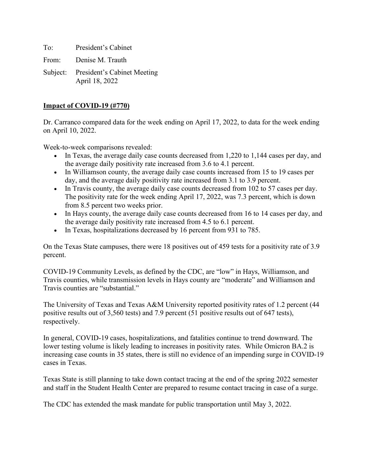To: President's Cabinet

From: Denise M. Trauth

Subject: President's Cabinet Meeting April 18, 2022

#### **Impact of COVID-19 (#770)**

Dr. Carranco compared data for the week ending on April 17, 2022, to data for the week ending on April 10, 2022.

Week-to-week comparisons revealed:

- In Texas, the average daily case counts decreased from 1,220 to 1,144 cases per day, and the average daily positivity rate increased from 3.6 to 4.1 percent.
- In Williamson county, the average daily case counts increased from 15 to 19 cases per day, and the average daily positivity rate increased from 3.1 to 3.9 percent.
- In Travis county, the average daily case counts decreased from 102 to 57 cases per day. The positivity rate for the week ending April 17, 2022, was 7.3 percent, which is down from 8.5 percent two weeks prior.
- In Hays county, the average daily case counts decreased from 16 to 14 cases per day, and the average daily positivity rate increased from 4.5 to 6.1 percent.
- In Texas, hospitalizations decreased by 16 percent from 931 to 785.

On the Texas State campuses, there were 18 positives out of 459 tests for a positivity rate of 3.9 percent.

COVID-19 Community Levels, as defined by the CDC, are "low" in Hays, Williamson, and Travis counties, while transmission levels in Hays county are "moderate" and Williamson and Travis counties are "substantial."

The University of Texas and Texas A&M University reported positivity rates of 1.2 percent (44 positive results out of 3,560 tests) and 7.9 percent (51 positive results out of 647 tests), respectively.

In general, COVID-19 cases, hospitalizations, and fatalities continue to trend downward. The lower testing volume is likely leading to increases in positivity rates. While Omicron BA.2 is increasing case counts in 35 states, there is still no evidence of an impending surge in COVID-19 cases in Texas.

Texas State is still planning to take down contact tracing at the end of the spring 2022 semester and staff in the Student Health Center are prepared to resume contact tracing in case of a surge.

The CDC has extended the mask mandate for public transportation until May 3, 2022.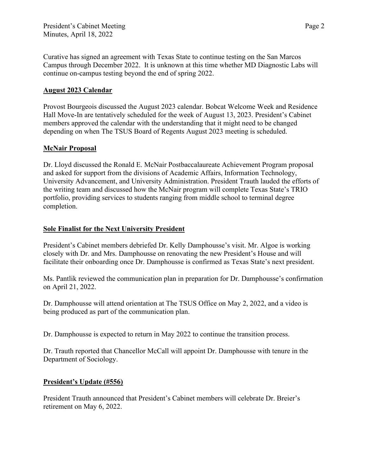Curative has signed an agreement with Texas State to continue testing on the San Marcos Campus through December 2022. It is unknown at this time whether MD Diagnostic Labs will continue on-campus testing beyond the end of spring 2022.

### **August 2023 Calendar**

Provost Bourgeois discussed the August 2023 calendar. Bobcat Welcome Week and Residence Hall Move-In are tentatively scheduled for the week of August 13, 2023. President's Cabinet members approved the calendar with the understanding that it might need to be changed depending on when The TSUS Board of Regents August 2023 meeting is scheduled.

# **McNair Proposal**

Dr. Lloyd discussed the Ronald E. McNair Postbaccalaureate Achievement Program proposal and asked for support from the divisions of Academic Affairs, Information Technology, University Advancement, and University Administration. President Trauth lauded the efforts of the writing team and discussed how the McNair program will complete Texas State's TRIO portfolio, providing services to students ranging from middle school to terminal degree completion.

#### **Sole Finalist for the Next University President**

President's Cabinet members debriefed Dr. Kelly Damphousse's visit. Mr. Algoe is working closely with Dr. and Mrs. Damphousse on renovating the new President's House and will facilitate their onboarding once Dr. Damphousse is confirmed as Texas State's next president.

Ms. Pantlik reviewed the communication plan in preparation for Dr. Damphousse's confirmation on April 21, 2022.

Dr. Damphousse will attend orientation at The TSUS Office on May 2, 2022, and a video is being produced as part of the communication plan.

Dr. Damphousse is expected to return in May 2022 to continue the transition process.

Dr. Trauth reported that Chancellor McCall will appoint Dr. Damphousse with tenure in the Department of Sociology.

#### **President's Update (#556)**

President Trauth announced that President's Cabinet members will celebrate Dr. Breier's retirement on May 6, 2022.